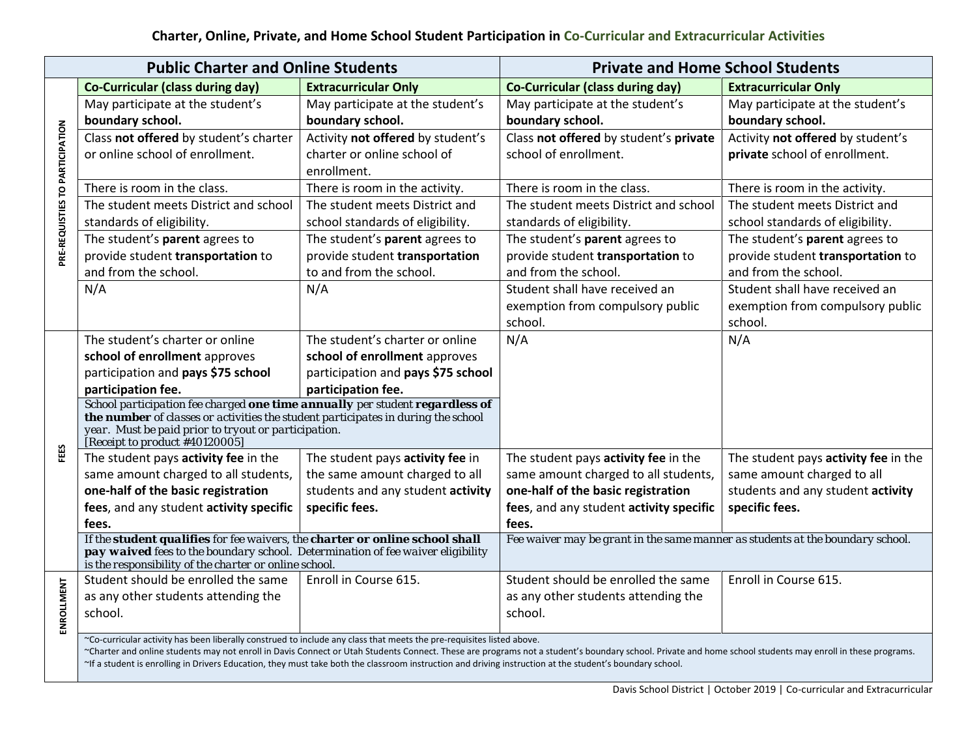| <b>Public Charter and Online Students</b> |                                                                                                                                                                                                                                                                                                                                    |                                    | <b>Private and Home School Students</b>                                        |                                      |  |  |
|-------------------------------------------|------------------------------------------------------------------------------------------------------------------------------------------------------------------------------------------------------------------------------------------------------------------------------------------------------------------------------------|------------------------------------|--------------------------------------------------------------------------------|--------------------------------------|--|--|
|                                           | <b>Co-Curricular (class during day)</b>                                                                                                                                                                                                                                                                                            | <b>Extracurricular Only</b>        | <b>Co-Curricular (class during day)</b>                                        | <b>Extracurricular Only</b>          |  |  |
| PRE-REQUISTIES TO PARTICIPATION           | May participate at the student's                                                                                                                                                                                                                                                                                                   | May participate at the student's   | May participate at the student's                                               | May participate at the student's     |  |  |
|                                           | boundary school.                                                                                                                                                                                                                                                                                                                   | boundary school.                   | boundary school.                                                               | boundary school.                     |  |  |
|                                           | Class not offered by student's charter                                                                                                                                                                                                                                                                                             | Activity not offered by student's  | Class not offered by student's private                                         | Activity not offered by student's    |  |  |
|                                           | or online school of enrollment.                                                                                                                                                                                                                                                                                                    | charter or online school of        | school of enrollment.                                                          | private school of enrollment.        |  |  |
|                                           |                                                                                                                                                                                                                                                                                                                                    | enrollment.                        |                                                                                |                                      |  |  |
|                                           | There is room in the class.                                                                                                                                                                                                                                                                                                        | There is room in the activity.     | There is room in the class.                                                    | There is room in the activity.       |  |  |
|                                           | The student meets District and school                                                                                                                                                                                                                                                                                              | The student meets District and     | The student meets District and school                                          | The student meets District and       |  |  |
|                                           | standards of eligibility.                                                                                                                                                                                                                                                                                                          | school standards of eligibility.   | standards of eligibility.                                                      | school standards of eligibility.     |  |  |
|                                           | The student's parent agrees to                                                                                                                                                                                                                                                                                                     | The student's parent agrees to     | The student's parent agrees to                                                 | The student's parent agrees to       |  |  |
|                                           | provide student transportation to                                                                                                                                                                                                                                                                                                  | provide student transportation     | provide student transportation to                                              | provide student transportation to    |  |  |
|                                           | and from the school.                                                                                                                                                                                                                                                                                                               | to and from the school.            | and from the school.                                                           | and from the school.                 |  |  |
|                                           | N/A                                                                                                                                                                                                                                                                                                                                | N/A                                | Student shall have received an                                                 | Student shall have received an       |  |  |
|                                           |                                                                                                                                                                                                                                                                                                                                    |                                    | exemption from compulsory public                                               | exemption from compulsory public     |  |  |
|                                           |                                                                                                                                                                                                                                                                                                                                    |                                    | school.                                                                        | school.                              |  |  |
|                                           | The student's charter or online                                                                                                                                                                                                                                                                                                    | The student's charter or online    | N/A                                                                            | N/A                                  |  |  |
|                                           | school of enrollment approves                                                                                                                                                                                                                                                                                                      | school of enrollment approves      |                                                                                |                                      |  |  |
|                                           | participation and pays \$75 school                                                                                                                                                                                                                                                                                                 | participation and pays \$75 school |                                                                                |                                      |  |  |
|                                           | participation fee.                                                                                                                                                                                                                                                                                                                 | participation fee.                 |                                                                                |                                      |  |  |
|                                           | School participation fee charged one time annually per student regardless of<br>the number of classes or activities the student participates in during the school                                                                                                                                                                  |                                    |                                                                                |                                      |  |  |
|                                           | year. Must be paid prior to tryout or participation.                                                                                                                                                                                                                                                                               |                                    |                                                                                |                                      |  |  |
|                                           | [Receipt to product #40120005]                                                                                                                                                                                                                                                                                                     |                                    |                                                                                |                                      |  |  |
| FEES                                      | The student pays activity fee in the                                                                                                                                                                                                                                                                                               | The student pays activity fee in   | The student pays activity fee in the                                           | The student pays activity fee in the |  |  |
|                                           | same amount charged to all students,                                                                                                                                                                                                                                                                                               | the same amount charged to all     | same amount charged to all students,                                           | same amount charged to all           |  |  |
|                                           | one-half of the basic registration                                                                                                                                                                                                                                                                                                 | students and any student activity  | one-half of the basic registration                                             | students and any student activity    |  |  |
|                                           | fees, and any student activity specific                                                                                                                                                                                                                                                                                            | specific fees.                     | fees, and any student activity specific                                        | specific fees.                       |  |  |
|                                           | fees.                                                                                                                                                                                                                                                                                                                              |                                    | fees.                                                                          |                                      |  |  |
|                                           | If the student qualifies for fee waivers, the charter or online school shall<br>pay waived fees to the boundary school. Determination of fee waiver eligibility                                                                                                                                                                    |                                    | Fee waiver may be grant in the same manner as students at the boundary school. |                                      |  |  |
|                                           | is the responsibility of the charter or online school.                                                                                                                                                                                                                                                                             |                                    |                                                                                |                                      |  |  |
| ENROLLMENT                                | Student should be enrolled the same                                                                                                                                                                                                                                                                                                | Enroll in Course 615.              | Student should be enrolled the same                                            | Enroll in Course 615.                |  |  |
|                                           | as any other students attending the                                                                                                                                                                                                                                                                                                |                                    | as any other students attending the                                            |                                      |  |  |
|                                           | school.                                                                                                                                                                                                                                                                                                                            |                                    | school.                                                                        |                                      |  |  |
|                                           |                                                                                                                                                                                                                                                                                                                                    |                                    |                                                                                |                                      |  |  |
|                                           | ~Co-curricular activity has been liberally construed to include any class that meets the pre-requisites listed above.<br>~Charter and online students may not enroll in Davis Connect or Utah Students Connect. These are programs not a student's boundary school. Private and home school students may enroll in these programs. |                                    |                                                                                |                                      |  |  |
|                                           | ~If a student is enrolling in Drivers Education, they must take both the classroom instruction and driving instruction at the student's boundary school.                                                                                                                                                                           |                                    |                                                                                |                                      |  |  |